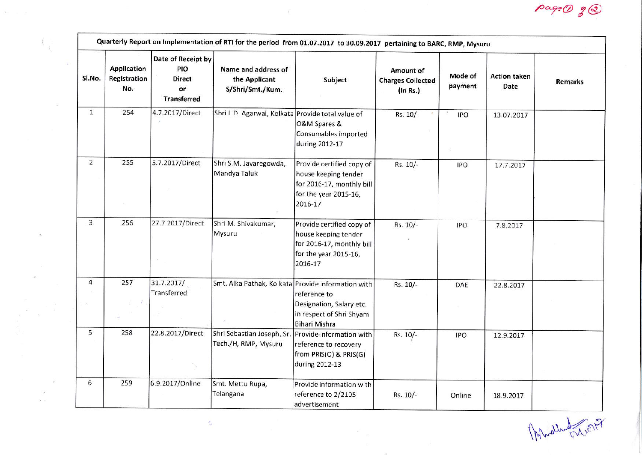| SI.No.         | <b>Application</b><br>Registration<br>No. | Date of Receipt by<br>PIO<br>Direct<br>or<br><b>Transferred</b> | Name and address of<br>the Applicant<br>S/Shri/Smt./Kum.                    | Subject                                                                                                            | Amount of<br><b>Charges Collected</b><br>(In Rs.) | Mode of<br>payment | <b>Action taken</b><br>Date | <b>Remarks</b> |
|----------------|-------------------------------------------|-----------------------------------------------------------------|-----------------------------------------------------------------------------|--------------------------------------------------------------------------------------------------------------------|---------------------------------------------------|--------------------|-----------------------------|----------------|
| $\mathbf{1}$   | 254                                       | 4.7.2017/Direct                                                 | Shri L.D. Agarwal, Kolkata Provide total value of                           | O&M Spares &<br>Consumables imported<br>during 2012-17                                                             | Rs. 10/-                                          | <b>IPO</b>         | 13.07.2017                  |                |
| $\overline{2}$ | 255                                       | 5.7.2017/Direct                                                 | Shri S.M. Javaregowda,<br>Mandya Taluk                                      | Provide certified copy of<br>house keeping tender<br>for 2016-17, monthly bill<br>for the year 2015-16,<br>2016-17 | Rs. 10/-                                          | <b>IPO</b>         | 17.7.2017                   |                |
| 3              | 256                                       | 27.7.2017/Direct                                                | Shri M. Shivakumar,<br>Mysuru                                               | Provide certified copy of<br>house keeping tender<br>for 2016-17, monthly bill<br>for the year 2015-16,<br>2016-17 | Rs. 10/-                                          | IPO                | 7.8.2017                    |                |
| $\overline{4}$ | 257                                       | 31.7.2017/<br>Transferred                                       | Smt. Alka Pathak, Kolkata Provide information with                          | reference to<br>Designation, Salary etc.<br>in respect of Shri Shyam<br>Bihari Mishra                              | Rs. 10/-                                          | DAE                | 22.8.2017                   |                |
| 5              | 258                                       | 22.8.2017/Direct                                                | Shri Sebastian Joseph, Sr. Provide-information with<br>Tech./H, RMP, Mysuru | reference to recovery<br>from PRIS(O) & PRIS(G)<br>during 2012-13                                                  | Rs. 10/-                                          | <b>IPO</b>         | 12.9.2017                   |                |
| 6              | 259                                       | 6.9.2017/Online                                                 | Smt. Mettu Rupa,<br>Telangana                                               | Provide information with<br>reference to 2/2105<br>advertisement                                                   | Rs. 10/-                                          | Online             | 18.9.2017                   |                |

 $\vec{E}$  –  $\vec{E}$ 

 $\tilde{\mathcal{E}}$ 

 $\tilde{\alpha}_{\rm B} = 100$ 

 $\langle \; \rangle$ 

 $\sim$ 

 $\sim$ 

 $\mathcal{A}^{\mathcal{C}}$  $\bar{F}$  $\alpha$  .  $\alpha$ 

Mhallwall 1017

page@  $2^{\circledR}$ 

 $\frac{1}{2}$